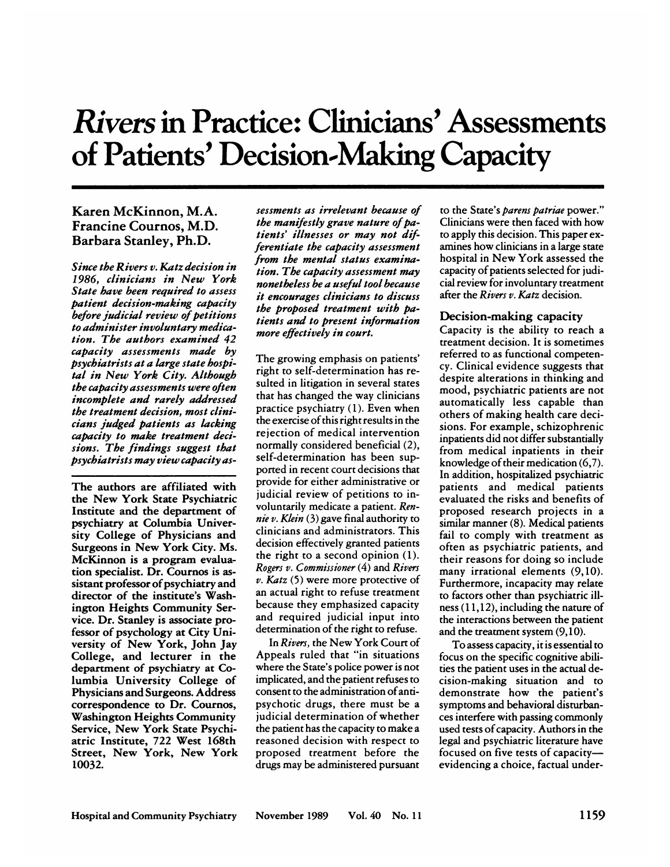# *Rivers* in **Practice: Clinicians' Assessments of Patients' Decision-Making Capacity**

# **Karen McKinnon, M.A. Francine Cournos, M.D. Barbara Stanley, Ph.D.**

*Since the Rivers v. Katz decision in 1986, clinicians in New York State have been required to assess patient decision-making capacity before judicial review of petitions to administer involuntary medica***tion. The authors examined 42** *capacity assessments made by psychiatrists at a large state hospital* **in New York City. Although** *the capacity assessments were often incomplete and rarely addressed the treatment decision, most clinicians judged patients as lacking capacity to make treatment decisions. The findings suggest that psychiatrists may view capacity as-*

**The authors are affiliated with the New York State Psychiatric** Institute **and the department of** psychiatry **at Columbia University College of Physicians and** Surgeons in New York City. Ms. **McKinnon is a program evalualion specialist. Dr. Cournos is as**sistant professor of psychiatry and director **of the institute's Wash**ington Heights Community Ser**vice. Dr. Stanley is associate pro**fessor of psychology at City Uni**versity of New York, John Jay College, and lecturer in the** department of psychiatry at Co**lumbia University College of Physicians and Surgeons. Address correspondence to Dr.Cournos,** Washington Heights Community Service, New **York State Psychiatric Institute, 722 West 168th Street, New York, New York 10032.**

*sessments as irrelevant because of the manifestly grave nature of patients' illnesses or may not diff erentiate the capacity assessment f rom the mental status examination. The capacity assessment may nonetheless be a useful tool because it encourages clinicians to discuss the proposed treatment with patients and to present information more effectively in court.*

**The growing emphasis on patients'** right to self-determination has resulted in litigation in several states that has changed the way clinicians practice psychiatry (1). Even when  $t$ **he** exercise of this right results in the rejection of medical intervention normally considered beneficial (2), self-determination has been supported in recent court decisions that provide for either administrative or judicial review of petitions to involuntarily medicate a patient. *Rennie v. Klein* (3)gave final authority to clinicians and administrators. This decision effectively granted patients **the night to a second opinion (1).** *Rogers v. Commissioner* (4) and *Rivers v. Katz* (5) were more protective of **an actual right to refuse treatment** because they emphasized capacity and required judicial input into determination of the right to refuse.

**In** *Rivers,* **the New York Court of** Appeals ruled that "in situations where the State's police power is not implicated, and the patient refuses to consent to the administration of antipsychotic drugs, there must be a judicial determination of whether the patient has the capacity to make a reasoned decision with respect to proposed treatment before the drugs may be administered pursuant

to the State's *parens patriae* **power."** Clinicians were then faced with how **to apply this decision. This paper ex amines how clinicians in a large state hospital in New York assessed the** capacity of patients selected for judicia! **review for involuntary treatment** after **the** *Rivers v. Katz* decision.

## Decision-making capacity

**Capacity is the ability to reach a** treatment decision. It is sometimes referred to as functional competency. Clinical evidence suggests that despite alterations in thinking and mood, psychiatric patients are not automatically less capable than **others of making health care deci**sions. For example, schizophrenic inpatients did not differ substantially from medical inpatients in their knowledge of their medication  $(6,7)$ . **In addition, hospitalized psychiatric** patients and medical patients evaluated the risks and benefits of **proposed research projects in a** similar manner (8). Medical patients fail to comply with treatment as often as psychiatric patients, and their reasons for doing so include many irrational elements (9,10). **Furthermore, incapacity may relate to factors other than psychiatric ill** ness (1 1,12), including the nature of **the interactions between the patient** and the treatment system (9,10).

**To assess capacity,** it is essential to focus on the specific cognitive abili**ties the patient uses in the actual de**cision-making situation and to **demonstrate how the patient's** symptoms and behavioral disturban ces interfere with passing commonly used tests of capacity. Authors in the legal and psychiatric literature have focused on five tests of capacity**evidencing a choice, factual under-**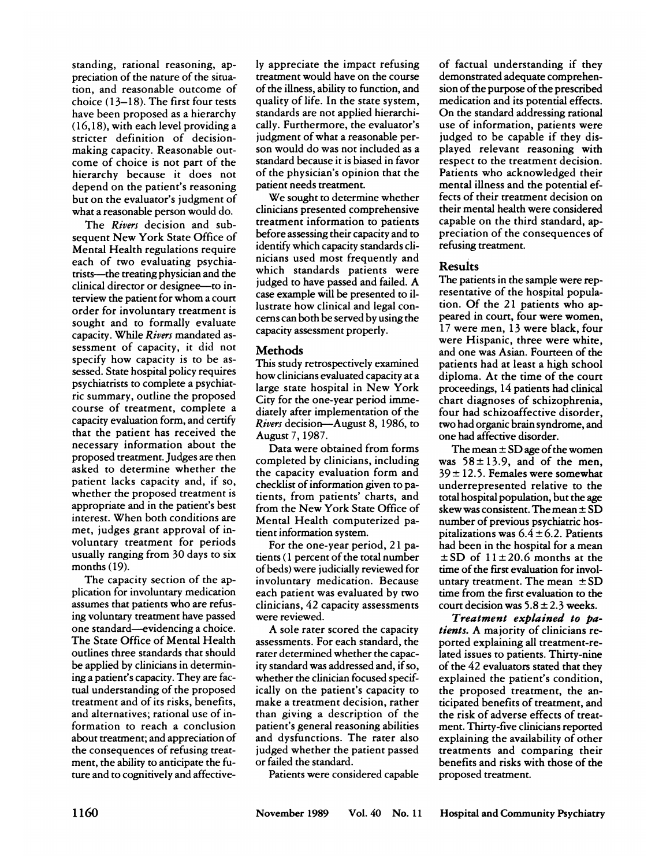standing, national reasoning, appreciation of the nature of the situation, and reasonable outcome of choice  $(13-18)$ . The first four tests have been proposed as a hierarchy (16,18), with each level providing a stricter definition of decisionmaking capacity. Reasonable out come of choice is not part of the hierarchy because **it does not** depend on the patient's reasoning but on the evaluator's judgment of what a reasonable person would do.

**The** *Rivers* decision and subsequent New York State Office of **Mental Health regulations require** each of two evaluating psychiatrists-the treating physician and the clinical director on designee-to in**terview the patient for whom a court** order for involuntary treatment is sought and to formally evaluate capacity. While *Rivers* mandated as sessment of capacity, **it** did not specify how capacity is to be as sessed. State hospital policy requires psychiatrists to complete a psychiat ric summary, outline the proposed course of treatment, complete a capacity evaluation form, and certify that the patient has received the necessary information about the proposed treatment. Judges are then asked to determine whether the patient lacks capacity and, if so, whether the proposed treatment is appropriate and in the patient's best interest. When both conditions are met, judges grant approval of involuntary treatment for periods usually ranging from 30 days to six months (19).

**The capacity section of the ap**plication for involuntary medication assumes that patients who are refusing voluntary treatment have passed **one standard-evidencing a choice.** The State Office of Mental Health outlines three standards that should be applied by clinicians in determining a patient's capacity. They are fac**tual understanding of the proposed** treatment and of its risks, benefits, and alternatives; rational use of information to reach a conclusion about treatment; and appreciation of the consequences of refusing treatment, the ability to anticipate the future and to cognitively and affective-

**ly appreciate the impact refusing** treatment would have on the course of the illness, ability to function, and quality of life. In the state system, standards are not applied hierarchically. Furthermore, the evaluator's judgment of what a reasonable person would do was not included as a standard because **it is biased in favor** of the physician's opinion that the patient needs treatment.

**We sought to determine whether** clinicians presented comprehensive treatment information to patients before assessing their capacity and to identify which capacity standards clinicians used most frequently and **which standards patients were** judged to have passed and failed. A **case example will be presented to ii**lustrate how clinical and legal con cerns can both be served by using the capacity assessment properly.

## Methods

This study retrospectively examined **how clinicians evaluated capacity at a** large state hospital in New York **City for the one-year period imme**diately after implementation of the *Rivers* decision-August 8, 1986, to August 7, 1987.

**Data were obtained from forms** completed by clinicians, including the capacity evaluation form and checklist of information given to patients, from patients' charts, and from the New York State Office of Mental Health computerized patient information system.

**For the one-year period, 2 1 pa**tients ( 1 percent of the total number ofbeds) were judicially reviewed for involuntary medication. Because each patient was evaluated by two clinicians, 42 capacity assessments **were reviewed.**

**A sole rater scored the capacity** assessments. For each standard, the rater determined whether the capacity standard was addressed and, if so, whether the clinician focused specifically on the patient's capacity to make a treatment decision, rather than giving a description of the patient's general reasoning abilities and dysfunctions. The rater also **judged whether the patient passed or failed the standard.**

Patients were considered capable

of factual understanding if they demonstrated adequate comprehension of the purpose of the prescribed medication and its potential effects. **On the standard addressing rational** use of information, patients were judged to be capable if they displayed relevant reasoning with respect to the treatment decision. Patients who acknowledged their **mental illness and the potential ef**fects of their treatment decision on **their mental health were considered** capable on the third standard, appreciation of the consequences of refusing treatment.

## Results

**The patients in the sample were representative of the hospital popula**tion. Of the 21 patients who appeared in court, four were women, 17 were men, 13 were black, four **were Hispanic, three were white,** and one was Asian. Fourteen of the patients had at least a high school diploma. At the time of the court proceedings, 14 patients had clinical **chant diagnoses of schizophrenia,** four had schizoaffective disorder, **two had organic brain syndrome, and one had affective disorder.**

**The** mean  $\pm$  SD age of the women **was**  $58 \pm 13.9$ , and of the men, 39 **±** 12.5. Females were somewhat underrepresented relative to the total hospital population, but the age **skew was consistent. The mean ± SD** number of previous psychiatric hos**pitalizations was 6.4 ±** 6.2. Patients had been in the hospital for a mean  $\pm$  SD of  $11 \pm 20.6$  months at the  $time$  of the first evaluation for involuntary treatment. The mean **± SD** time **from the first evaluation to the court decision was 5.8 ±** 2.3 weeks.

**Treatment explained to pa***tients.* **A majority of clinicians re** ported explaining all treatment-related issues to patients. Thirty-nine **of the 42 evaluators stated that they explained the patient's condition,** the proposed treatment, the anticipated benefits of treatment, and the risk of adverse effects of treatment. Thirty-five clinicians reported **explaining the availability of other** treatments and comparing their benefits and risks with those of the proposed treatment.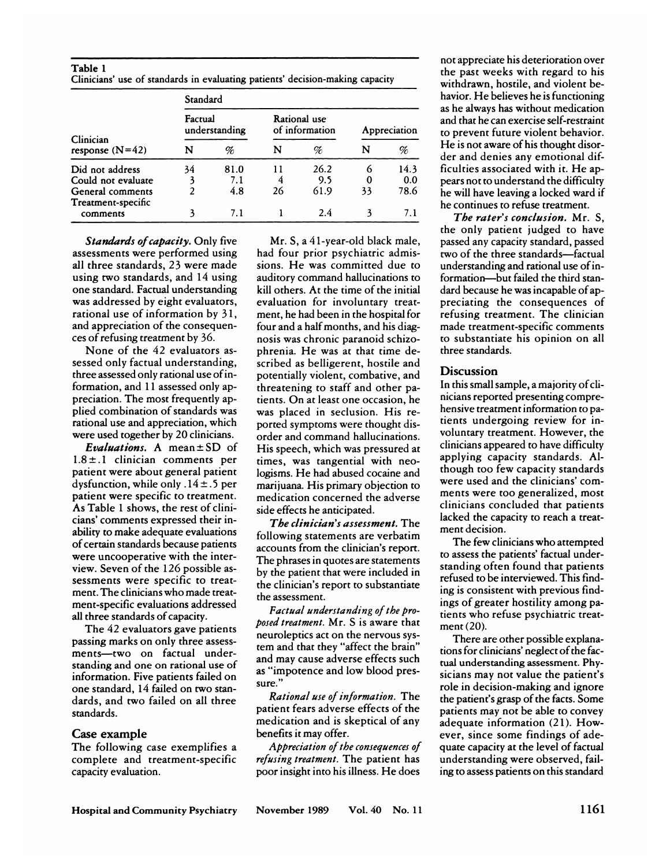| Table 1 |  |  |                                                                               |  |
|---------|--|--|-------------------------------------------------------------------------------|--|
|         |  |  | Clinicians' use of standards in evaluating patients' decision-making capacity |  |

|                                        | Standard                 |      |                                |      |              |      |  |  |
|----------------------------------------|--------------------------|------|--------------------------------|------|--------------|------|--|--|
|                                        | Factual<br>understanding |      | Rational use<br>of information |      | Appreciation |      |  |  |
| Clinician<br>response $(N=42)$         | N                        | %    | N                              | K    | N            | %    |  |  |
| Did not address                        | 34                       | 81.0 | 11                             | 26.2 | 6            | 14.3 |  |  |
| Could not evaluate                     |                          | 7.1  | 4                              | 9.5  | 0            | 0.0  |  |  |
| General comments<br>Treatment-specific | 2                        | 4.8  | 26                             | 61.9 | 33           | 78.6 |  |  |
| comments                               |                          | 7.1  |                                | 2.4  |              | 7.1  |  |  |

*Standards of capacity.* Only five assessments were performed using all **three standards, 23 were made** using two standards, and 14 using **one standard. Factual understanding was addressed by eight evaluators,** rational use of information by 31, and appreciation of the consequen ces of refusing treatment by 36.

None of the 42 evaluators as **sessed only factual understanding,** three assessed only rational use of information, and 11 assessed only appreciation. The most frequently applied combination of standards was rational use and appreciation, which **were used together by 20 clinicians.**

*Evaluations.* **A mean ± SD of**  $1.8 \pm .1$  clinician comments per patient were about general patient dysfunction, while only  $.14 \pm .5$  per **patient were specific to treatment. As Table 1 shows, the rest of clinicians' comments expressed their in**ability to make adequate evaluations **ofcertain standards because patients were uncooperative with the inter**view. Seven of the 1 26 possible as sessments were specific to treatment. The clinicians who made treatment-specific evaluations addressed all **three standards of capacity.**

**The 42 evaluators gave patients** passing marks on only three assess ments-two on factual understanding and one on rational use of information. Five patients failed on **one standard, 14 failed on** two standards, and two failed on all three standards.

## Case **example**

**The following case exemplifies a** complete and treatment-specific capacity evaluation.

**Mn. 5, a 41-year-old black male, had four prior psychiatric admis**sions. He was committed due to **auditory command hallucinations to** kill others. At the time of the initial evaluation for involuntary treatment, he had been in the hospital for four and a half months, and his diagnosis was chronic paranoid schizophrenia. He was at that time described as belligerent, hostile and potentially violent, combative, and threatening to staff and other pa**tients. On at least one occasion, he** was placed in seclusion. His reported symptoms were thought disorder and command hallucinations. His speech, which was pressured at times, was tangential with neologisms. **He had abused cocaine and** marijuana. His primary objection to medication concerned the adverse side effects he anticipated.

*The clinician's assessment.* **The** following statements are verbatim accounts from the clinician's report. The phrases in quotes are statements by the patient that were included in the clinician's report to substantiate the assessment.

*Factual understanding of the proposed treatment.* Mr. S is aware that neuroleptics act on the nervous system and that they "affect the brain" and may cause adverse effects such as "impotence and low blood pressure."

*Rational use ofinformation.* **The** patient fears adverse effects of the medication and is skeptical of any benefits **it may offer.**

*Appreciation of the consequences of refusing treatment.* **The patient has** poor insight into his illness. He does

N % FILE REFERENCE OF the discrepancy of the discretion of the discretion of the discretion of the discretion of the discretion of the discretion of the discretion of the discretion of the discretion of the discretion of t not appreciate his deterioration over the past weeks with regard to his withdrawn, hostile, and violent behavion. He believes he is functioning as **he always** has without medication and that he can exercise self-restraint **to prevent future violent behavior. He is not aware of his thought dison**ficulties associated with **it.He ap**pears not to understand the difficulty **he will have leaving a locked ward if** he continues to refuse treatment.

> *The rater's conclusion.* **Mn. S,** the only patient judged to have passed **any capacity standard, passed** two of the three standards—factual understanding and rational use of information-but failed the third standard because he was incapable of appreciating the consequences of refusing treatment. The clinician made treatment-specific comments **to substantiate his opinion on all** three standards.

## **Discussion**

**In this small sample, a majority of cli**nicians reported presenting comprehensive treatment information to patients undergoing review for involuntary treatment. However, the clinicians appeared to have difficulty applying capacity standards. Although too few capacity standards **were used and the clinicians' corn** ments were too generalized, most clinicians concluded that patients lacked the capacity to reach a treatment decision.

**The few clinicians who attempted to assess the patients' factual under**standing often found that patients refused to be interviewed. This find**ing is consistent with previous find**ings of greater hostility among patients who refuse psychiatric treatment (20).

**There are other possible explana**tions for clinicians' neglect of the factual understanding assessment. Physicians may not value the patient's role in decision-making and ignore **the patient's grasp of the facts. Some** patients may not be able to convey adequate information (21). How**ever, since some findings of ade**quate capacity at the level of factual understanding were observed, failing **to assess patients on this standard**